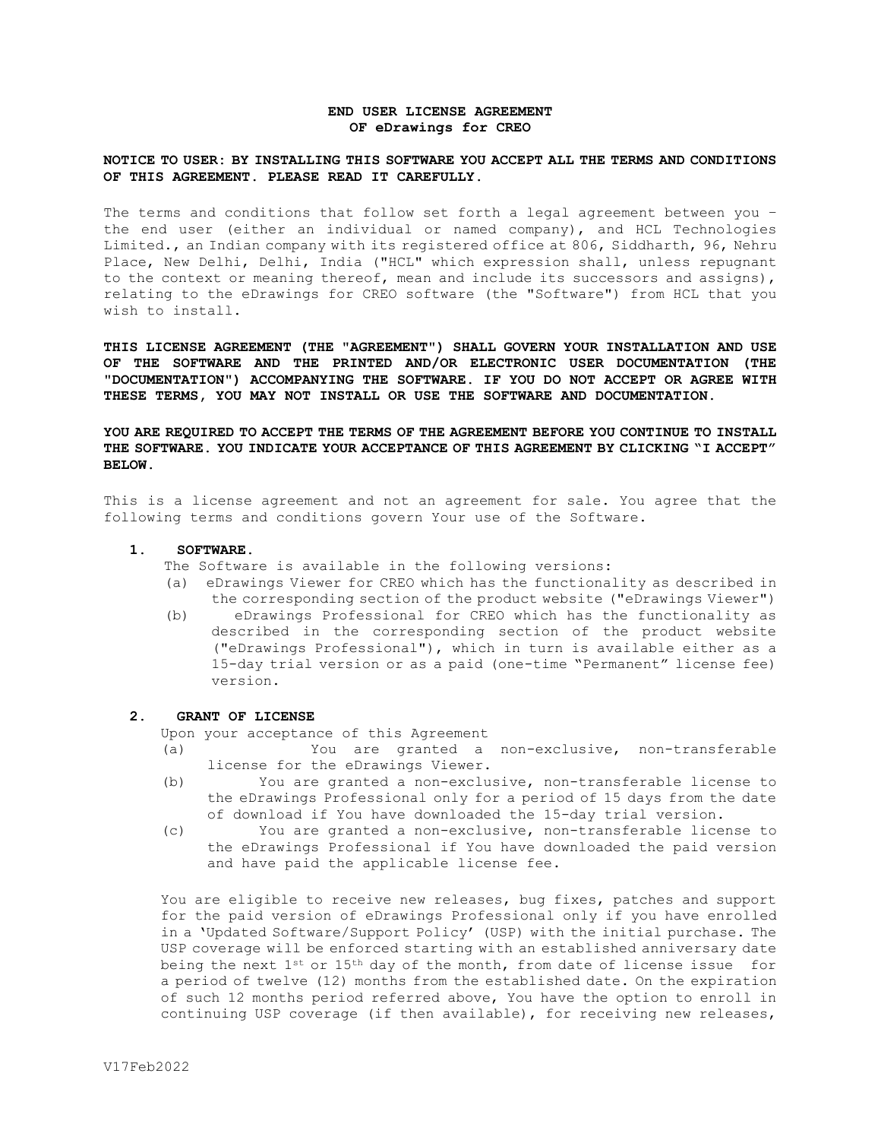# **END USER LICENSE AGREEMENT OF eDrawings for CREO**

## **NOTICE TO USER: BY INSTALLING THIS SOFTWARE YOU ACCEPT ALL THE TERMS AND CONDITIONS OF THIS AGREEMENT. PLEASE READ IT CAREFULLY.**

The terms and conditions that follow set forth a legal agreement between you – the end user (either an individual or named company), and HCL Technologies Limited., an Indian company with its registered office at 806, Siddharth, 96, Nehru Place, New Delhi, Delhi, India ("HCL" which expression shall, unless repugnant to the context or meaning thereof, mean and include its successors and assigns), relating to the eDrawings for CREO software (the "Software") from HCL that you wish to install.

**THIS LICENSE AGREEMENT (THE "AGREEMENT") SHALL GOVERN YOUR INSTALLATION AND USE OF THE SOFTWARE AND THE PRINTED AND/OR ELECTRONIC USER DOCUMENTATION (THE "DOCUMENTATION") ACCOMPANYING THE SOFTWARE. IF YOU DO NOT ACCEPT OR AGREE WITH THESE TERMS, YOU MAY NOT INSTALL OR USE THE SOFTWARE AND DOCUMENTATION.** 

**YOU ARE REQUIRED TO ACCEPT THE TERMS OF THE AGREEMENT BEFORE YOU CONTINUE TO INSTALL THE SOFTWARE. YOU INDICATE YOUR ACCEPTANCE OF THIS AGREEMENT BY CLICKING "I ACCEPT" BELOW.**

This is a license agreement and not an agreement for sale. You agree that the following terms and conditions govern Your use of the Software.

#### **1. SOFTWARE.**

- The Software is available in the following versions:
- (a) eDrawings Viewer for CREO which has the functionality as described in the corresponding section of the product website ("eDrawings Viewer")
- (b) eDrawings Professional for CREO which has the functionality as described in the corresponding section of the product website ("eDrawings Professional"), which in turn is available either as a 15-day trial version or as a paid (one-time "Permanent" license fee) version**.**

# **2. GRANT OF LICENSE**

Upon your acceptance of this Agreement

- (a) You are granted a non-exclusive, non-transferable license for the eDrawings Viewer.
- (b) You are granted a non-exclusive, non-transferable license to the eDrawings Professional only for a period of 15 days from the date of download if You have downloaded the 15-day trial version.
- (c) You are granted a non-exclusive, non-transferable license to the eDrawings Professional if You have downloaded the paid version and have paid the applicable license fee.

You are eligible to receive new releases, bug fixes, patches and support for the paid version of eDrawings Professional only if you have enrolled in a 'Updated Software/Support Policy' (USP) with the initial purchase. The USP coverage will be enforced starting with an established anniversary date being the next 1<sup>st</sup> or 15<sup>th</sup> day of the month, from date of license issue for a period of twelve (12) months from the established date. On the expiration of such 12 months period referred above, You have the option to enroll in continuing USP coverage (if then available), for receiving new releases,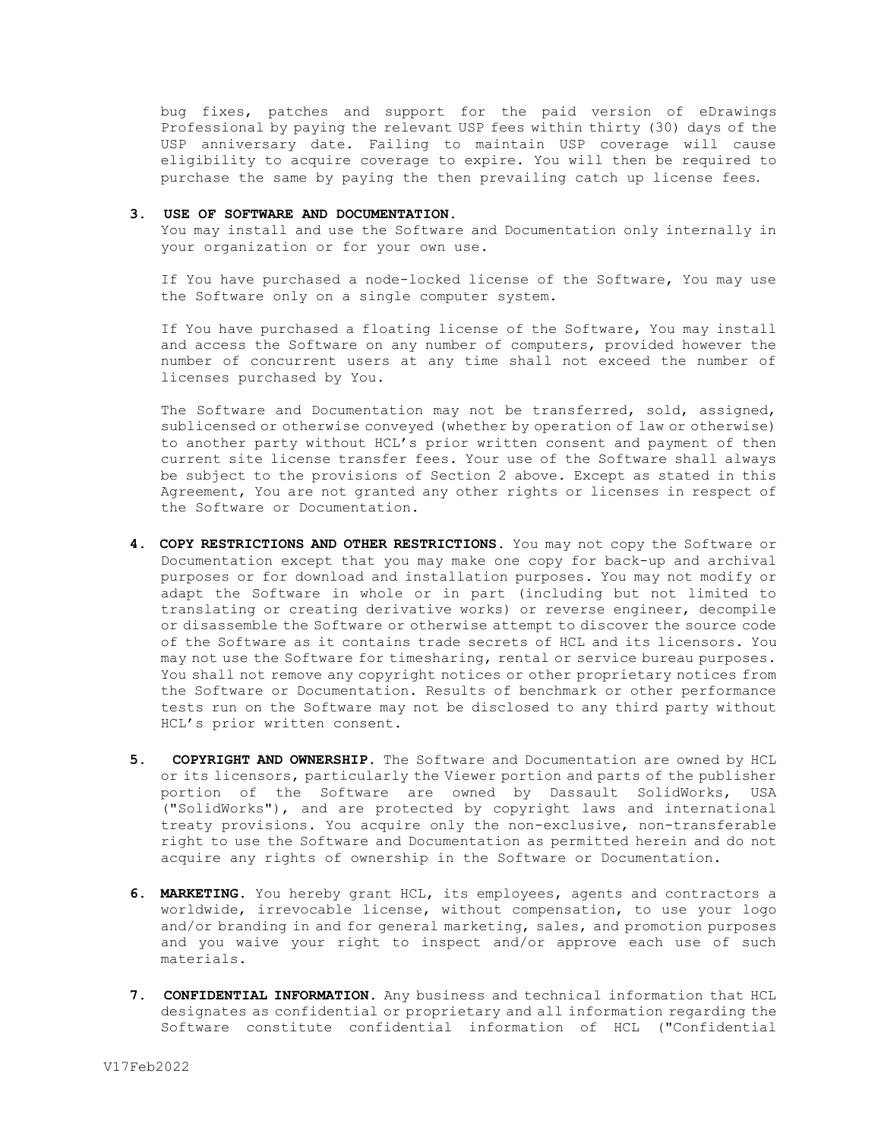bug fixes, patches and support for the paid version of eDrawings Professional by paying the relevant USP fees within thirty (30) days of the USP anniversary date. Failing to maintain USP coverage will cause eligibility to acquire coverage to expire. You will then be required to purchase the same by paying the then prevailing catch up license fees.

#### **3. USE OF SOFTWARE AND DOCUMENTATION.**

You may install and use the Software and Documentation only internally in your organization or for your own use.

If You have purchased a node-locked license of the Software, You may use the Software only on a single computer system.

If You have purchased a floating license of the Software, You may install and access the Software on any number of computers, provided however the number of concurrent users at any time shall not exceed the number of licenses purchased by You.

The Software and Documentation may not be transferred, sold, assigned, sublicensed or otherwise conveyed (whether by operation of law or otherwise) to another party without HCL's prior written consent and payment of then current site license transfer fees. Your use of the Software shall always be subject to the provisions of Section 2 above. Except as stated in this Agreement, You are not granted any other rights or licenses in respect of the Software or Documentation.

- **4. COPY RESTRICTIONS AND OTHER RESTRICTIONS.** You may not copy the Software or Documentation except that you may make one copy for back-up and archival purposes or for download and installation purposes. You may not modify or adapt the Software in whole or in part (including but not limited to translating or creating derivative works) or reverse engineer, decompile or disassemble the Software or otherwise attempt to discover the source code of the Software as it contains trade secrets of HCL and its licensors. You may not use the Software for timesharing, rental or service bureau purposes. You shall not remove any copyright notices or other proprietary notices from the Software or Documentation. Results of benchmark or other performance tests run on the Software may not be disclosed to any third party without HCL's prior written consent.
- **5. COPYRIGHT AND OWNERSHIP.** The Software and Documentation are owned by HCL or its licensors, particularly the Viewer portion and parts of the publisher portion of the Software are owned by Dassault SolidWorks, USA ("SolidWorks"), and are protected by copyright laws and international treaty provisions. You acquire only the non-exclusive, non-transferable right to use the Software and Documentation as permitted herein and do not acquire any rights of ownership in the Software or Documentation.
- **6. MARKETING.** You hereby grant HCL, its employees, agents and contractors a worldwide, irrevocable license, without compensation, to use your logo and/or branding in and for general marketing, sales, and promotion purposes and you waive your right to inspect and/or approve each use of such materials.
- **7. CONFIDENTIAL INFORMATION.** Any business and technical information that HCL designates as confidential or proprietary and all information regarding the Software constitute confidential information of HCL ("Confidential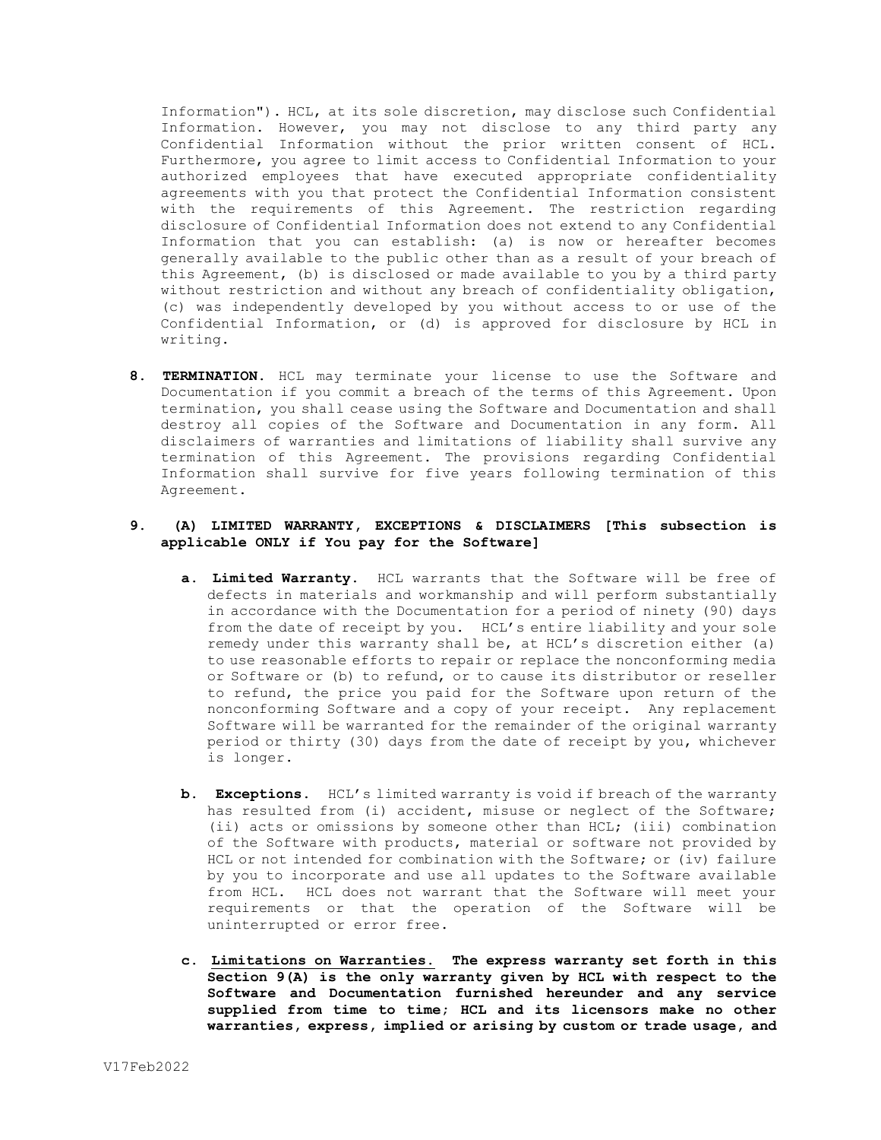Information"). HCL, at its sole discretion, may disclose such Confidential Information. However, you may not disclose to any third party any Confidential Information without the prior written consent of HCL. Furthermore, you agree to limit access to Confidential Information to your authorized employees that have executed appropriate confidentiality agreements with you that protect the Confidential Information consistent with the requirements of this Agreement. The restriction regarding disclosure of Confidential Information does not extend to any Confidential Information that you can establish: (a) is now or hereafter becomes generally available to the public other than as a result of your breach of this Agreement, (b) is disclosed or made available to you by a third party without restriction and without any breach of confidentiality obligation, (c) was independently developed by you without access to or use of the Confidential Information, or (d) is approved for disclosure by HCL in writing.

**8. TERMINATION.** HCL may terminate your license to use the Software and Documentation if you commit a breach of the terms of this Agreement. Upon termination, you shall cease using the Software and Documentation and shall destroy all copies of the Software and Documentation in any form. All disclaimers of warranties and limitations of liability shall survive any termination of this Agreement. The provisions regarding Confidential Information shall survive for five years following termination of this Agreement.

# **9. (A) LIMITED WARRANTY, EXCEPTIONS & DISCLAIMERS [This subsection is applicable ONLY if You pay for the Software]**

- **a. Limited Warranty.** HCL warrants that the Software will be free of defects in materials and workmanship and will perform substantially in accordance with the Documentation for a period of ninety (90) days from the date of receipt by you. HCL's entire liability and your sole remedy under this warranty shall be, at HCL's discretion either (a) to use reasonable efforts to repair or replace the nonconforming media or Software or (b) to refund, or to cause its distributor or reseller to refund, the price you paid for the Software upon return of the nonconforming Software and a copy of your receipt. Any replacement Software will be warranted for the remainder of the original warranty period or thirty (30) days from the date of receipt by you, whichever is longer.
- **b. Exceptions.** HCL's limited warranty is void if breach of the warranty has resulted from (i) accident, misuse or neglect of the Software; (ii) acts or omissions by someone other than HCL; (iii) combination of the Software with products, material or software not provided by HCL or not intended for combination with the Software; or (iv) failure by you to incorporate and use all updates to the Software available from HCL. HCL does not warrant that the Software will meet your requirements or that the operation of the Software will be uninterrupted or error free.
- **c. Limitations on Warranties. The express warranty set forth in this Section 9(A) is the only warranty given by HCL with respect to the Software and Documentation furnished hereunder and any service supplied from time to time; HCL and its licensors make no other warranties, express, implied or arising by custom or trade usage, and**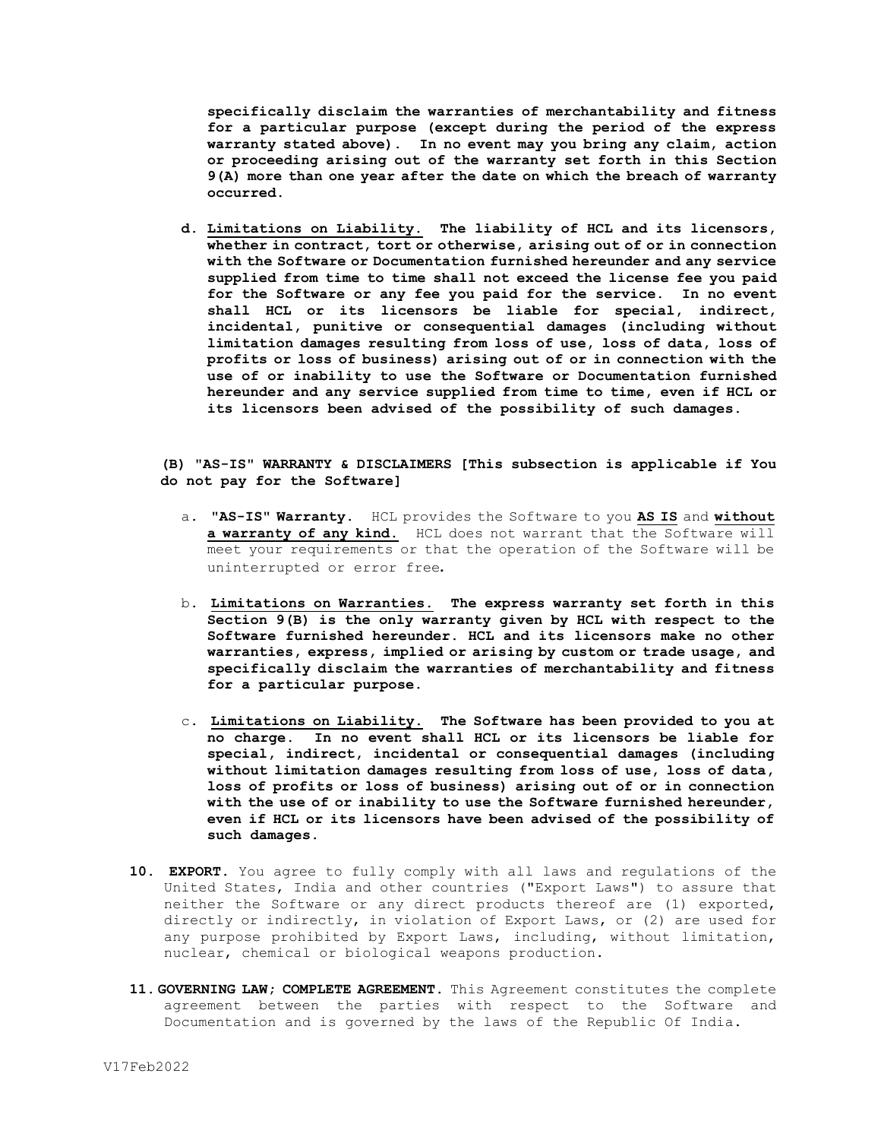**specifically disclaim the warranties of merchantability and fitness for a particular purpose (except during the period of the express warranty stated above). In no event may you bring any claim, action or proceeding arising out of the warranty set forth in this Section 9(A) more than one year after the date on which the breach of warranty occurred.**

**d. Limitations on Liability. The liability of HCL and its licensors, whether in contract, tort or otherwise, arising out of or in connection with the Software or Documentation furnished hereunder and any service supplied from time to time shall not exceed the license fee you paid for the Software or any fee you paid for the service. In no event shall HCL or its licensors be liable for special, indirect, incidental, punitive or consequential damages (including without limitation damages resulting from loss of use, loss of data, loss of profits or loss of business) arising out of or in connection with the use of or inability to use the Software or Documentation furnished hereunder and any service supplied from time to time, even if HCL or its licensors been advised of the possibility of such damages.** 

**(B) "AS-IS" WARRANTY & DISCLAIMERS [This subsection is applicable if You do not pay for the Software]**

- a. **"AS-IS" Warranty.** HCL provides the Software to you **AS IS** and **without**  a warranty of any kind. HCL does not warrant that the Software will meet your requirements or that the operation of the Software will be uninterrupted or error free**.**
- b. **Limitations on Warranties. The express warranty set forth in this Section 9(B) is the only warranty given by HCL with respect to the Software furnished hereunder. HCL and its licensors make no other warranties, express, implied or arising by custom or trade usage, and specifically disclaim the warranties of merchantability and fitness for a particular purpose.**
- c. **Limitations on Liability. The Software has been provided to you at no charge. In no event shall HCL or its licensors be liable for special, indirect, incidental or consequential damages (including without limitation damages resulting from loss of use, loss of data, loss of profits or loss of business) arising out of or in connection with the use of or inability to use the Software furnished hereunder, even if HCL or its licensors have been advised of the possibility of such damages.**
- **10. EXPORT.** You agree to fully comply with all laws and regulations of the United States, India and other countries ("Export Laws") to assure that neither the Software or any direct products thereof are (1) exported, directly or indirectly, in violation of Export Laws, or (2) are used for any purpose prohibited by Export Laws, including, without limitation, nuclear, chemical or biological weapons production.
- **11. GOVERNING LAW; COMPLETE AGREEMENT.** This Agreement constitutes the complete agreement between the parties with respect to the Software and Documentation and is governed by the laws of the Republic Of India.